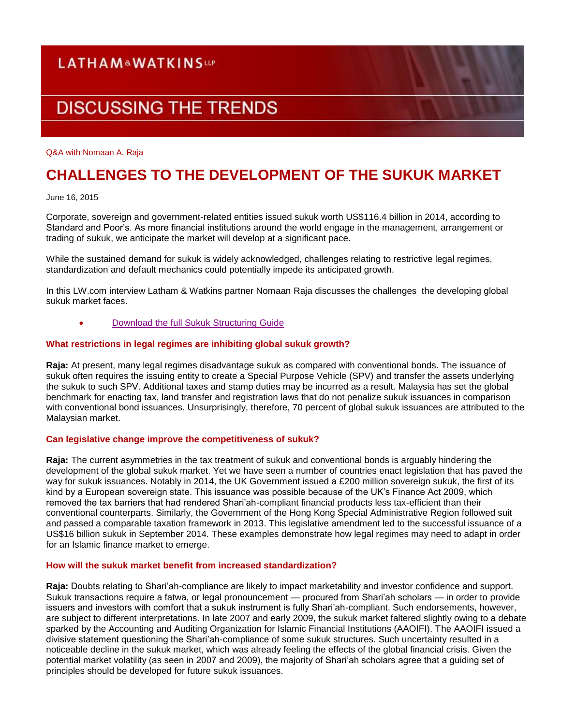### **LATHAM&WATKINSUP**

# **DISCUSSING THE TRENDS**

Q&A with Nomaan A. Raja

## **CHALLENGES TO THE DEVELOPMENT OF THE SUKUK MARKET**

June 16, 2015

Corporate, sovereign and government-related entities issued sukuk worth US\$116.4 billion in 2014, according to Standard and Poor's. As more financial institutions around the world engage in the management, arrangement or trading of sukuk, we anticipate the market will develop at a significant pace.

While the sustained demand for sukuk is widely acknowledged, challenges relating to restrictive legal regimes, standardization and default mechanics could potentially impede its anticipated growth.

In this LW.com interview Latham & Watkins partner Nomaan Raja discusses the challenges the developing global sukuk market faces.

[Download the full Sukuk Structuring Guide](http://www.lw.com/thoughtLeadership/guide-to-structurings-sukuk-2015)

#### **What restrictions in legal regimes are inhibiting global sukuk growth?**

**Raja:** At present, many legal regimes disadvantage sukuk as compared with conventional bonds. The issuance of sukuk often requires the issuing entity to create a Special Purpose Vehicle (SPV) and transfer the assets underlying the sukuk to such SPV. Additional taxes and stamp duties may be incurred as a result. Malaysia has set the global benchmark for enacting tax, land transfer and registration laws that do not penalize sukuk issuances in comparison with conventional bond issuances. Unsurprisingly, therefore, 70 percent of global sukuk issuances are attributed to the Malaysian market.

#### **Can legislative change improve the competitiveness of sukuk?**

**Raja:** The current asymmetries in the tax treatment of sukuk and conventional bonds is arguably hindering the development of the global sukuk market. Yet we have seen a number of countries enact legislation that has paved the way for sukuk issuances. Notably in 2014, the UK Government issued a £200 million sovereign sukuk, the first of its kind by a European sovereign state. This issuance was possible because of the UK's Finance Act 2009, which removed the tax barriers that had rendered Shari'ah-compliant financial products less tax-efficient than their conventional counterparts. Similarly, the Government of the Hong Kong Special Administrative Region followed suit and passed a comparable taxation framework in 2013. This legislative amendment led to the successful issuance of a US\$16 billion sukuk in September 2014. These examples demonstrate how legal regimes may need to adapt in order for an Islamic finance market to emerge.

#### **How will the sukuk market benefit from increased standardization?**

**Raja:** Doubts relating to Shari'ah-compliance are likely to impact marketability and investor confidence and support. Sukuk transactions require a fatwa, or legal pronouncement — procured from Shari'ah scholars — in order to provide issuers and investors with comfort that a sukuk instrument is fully Shari'ah-compliant. Such endorsements, however, are subject to different interpretations. In late 2007 and early 2009, the sukuk market faltered slightly owing to a debate sparked by the Accounting and Auditing Organization for Islamic Financial Institutions (AAOIFI). The AAOIFI issued a divisive statement questioning the Shari'ah-compliance of some sukuk structures. Such uncertainty resulted in a noticeable decline in the sukuk market, which was already feeling the effects of the global financial crisis. Given the potential market volatility (as seen in 2007 and 2009), the majority of Shari'ah scholars agree that a guiding set of principles should be developed for future sukuk issuances.